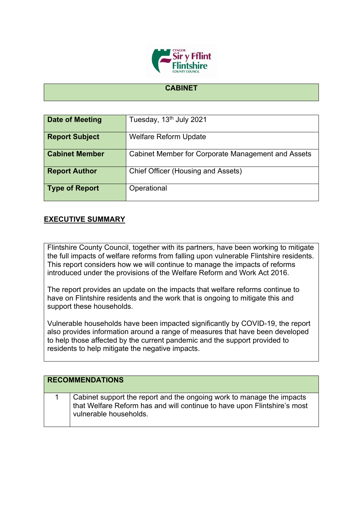

## **CABINET**

| Date of Meeting       | Tuesday, 13 <sup>th</sup> July 2021                |  |
|-----------------------|----------------------------------------------------|--|
| <b>Report Subject</b> | <b>Welfare Reform Update</b>                       |  |
| <b>Cabinet Member</b> | Cabinet Member for Corporate Management and Assets |  |
| <b>Report Author</b>  | <b>Chief Officer (Housing and Assets)</b>          |  |
| <b>Type of Report</b> | Operational                                        |  |

## **EXECUTIVE SUMMARY**

Flintshire County Council, together with its partners, have been working to mitigate the full impacts of welfare reforms from falling upon vulnerable Flintshire residents. This report considers how we will continue to manage the impacts of reforms introduced under the provisions of the Welfare Reform and Work Act 2016.

The report provides an update on the impacts that welfare reforms continue to have on Flintshire residents and the work that is ongoing to mitigate this and support these households.

Vulnerable households have been impacted significantly by COVID-19, the report also provides information around a range of measures that have been developed to help those affected by the current pandemic and the support provided to residents to help mitigate the negative impacts.

| <b>RECOMMENDATIONS</b> |                                                                                                                                                                             |  |  |
|------------------------|-----------------------------------------------------------------------------------------------------------------------------------------------------------------------------|--|--|
|                        | Cabinet support the report and the ongoing work to manage the impacts<br>that Welfare Reform has and will continue to have upon Flintshire's most<br>vulnerable households. |  |  |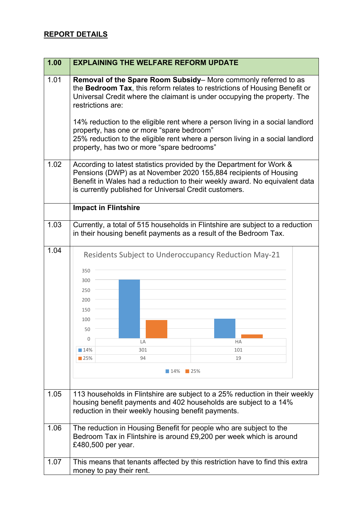## **REPORT DETAILS**

| 1.00 | <b>EXPLAINING THE WELFARE REFORM UPDATE</b>                                                                                                                                                                                                                                      |  |  |
|------|----------------------------------------------------------------------------------------------------------------------------------------------------------------------------------------------------------------------------------------------------------------------------------|--|--|
| 1.01 | Removal of the Spare Room Subsidy– More commonly referred to as<br>the Bedroom Tax, this reform relates to restrictions of Housing Benefit or<br>Universal Credit where the claimant is under occupying the property. The<br>restrictions are:                                   |  |  |
|      | 14% reduction to the eligible rent where a person living in a social landlord<br>property, has one or more "spare bedroom"<br>25% reduction to the eligible rent where a person living in a social landlord<br>property, has two or more "spare bedrooms"                        |  |  |
| 1.02 | According to latest statistics provided by the Department for Work &<br>Pensions (DWP) as at November 2020 155,884 recipients of Housing<br>Benefit in Wales had a reduction to their weekly award. No equivalent data<br>is currently published for Universal Credit customers. |  |  |
|      | <b>Impact in Flintshire</b>                                                                                                                                                                                                                                                      |  |  |
| 1.03 | Currently, a total of 515 households in Flintshire are subject to a reduction<br>in their housing benefit payments as a result of the Bedroom Tax.                                                                                                                               |  |  |
| 1.04 | Residents Subject to Underoccupancy Reduction May-21<br>350<br>300                                                                                                                                                                                                               |  |  |
|      | 250<br>200                                                                                                                                                                                                                                                                       |  |  |
|      | 150<br>100<br>50                                                                                                                                                                                                                                                                 |  |  |
|      | 0<br>LA<br><b>HA</b>                                                                                                                                                                                                                                                             |  |  |
|      | 14%<br>301<br>101<br>94<br>19<br>$\blacksquare$ 25%                                                                                                                                                                                                                              |  |  |
|      | 14%<br>$\blacksquare$ 25%                                                                                                                                                                                                                                                        |  |  |
|      |                                                                                                                                                                                                                                                                                  |  |  |
| 1.05 | 113 households in Flintshire are subject to a 25% reduction in their weekly<br>housing benefit payments and 402 households are subject to a 14%<br>reduction in their weekly housing benefit payments.                                                                           |  |  |
| 1.06 | The reduction in Housing Benefit for people who are subject to the<br>Bedroom Tax in Flintshire is around £9,200 per week which is around<br>£480,500 per year.                                                                                                                  |  |  |
| 1.07 | This means that tenants affected by this restriction have to find this extra<br>money to pay their rent.                                                                                                                                                                         |  |  |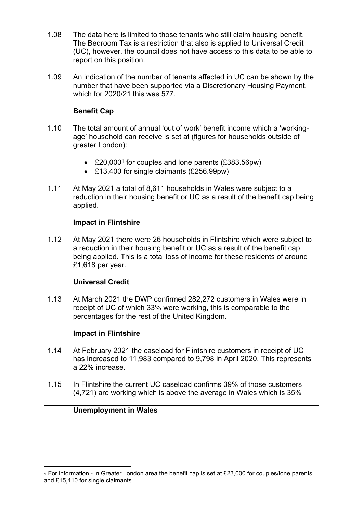| 1.08 | The data here is limited to those tenants who still claim housing benefit.<br>The Bedroom Tax is a restriction that also is applied to Universal Credit<br>(UC), however, the council does not have access to this data to be able to<br>report on this position. |  |  |
|------|-------------------------------------------------------------------------------------------------------------------------------------------------------------------------------------------------------------------------------------------------------------------|--|--|
| 1.09 | An indication of the number of tenants affected in UC can be shown by the<br>number that have been supported via a Discretionary Housing Payment,<br>which for 2020/21 this was 577.                                                                              |  |  |
|      | <b>Benefit Cap</b>                                                                                                                                                                                                                                                |  |  |
| 1.10 | The total amount of annual 'out of work' benefit income which a 'working-<br>age' household can receive is set at (figures for households outside of<br>greater London):                                                                                          |  |  |
|      | • £20,000 <sup>1</sup> for couples and lone parents (£383.56pw)<br>£13,400 for single claimants (£256.99pw)                                                                                                                                                       |  |  |
| 1.11 | At May 2021 a total of 8,611 households in Wales were subject to a<br>reduction in their housing benefit or UC as a result of the benefit cap being<br>applied.                                                                                                   |  |  |
|      | <b>Impact in Flintshire</b>                                                                                                                                                                                                                                       |  |  |
| 1.12 | At May 2021 there were 26 households in Flintshire which were subject to<br>a reduction in their housing benefit or UC as a result of the benefit cap<br>being applied. This is a total loss of income for these residents of around<br>£1,618 per year.          |  |  |
|      | <b>Universal Credit</b>                                                                                                                                                                                                                                           |  |  |
| 1.13 | At March 2021 the DWP confirmed 282,272 customers in Wales were in<br>receipt of UC of which 33% were working, this is comparable to the<br>percentages for the rest of the United Kingdom.                                                                       |  |  |
|      | <b>Impact in Flintshire</b>                                                                                                                                                                                                                                       |  |  |
| 1.14 | At February 2021 the caseload for Flintshire customers in receipt of UC<br>has increased to 11,983 compared to 9,798 in April 2020. This represents<br>a 22% increase.                                                                                            |  |  |
| 1.15 | In Flintshire the current UC caseload confirms 39% of those customers<br>$(4,721)$ are working which is above the average in Wales which is 35%                                                                                                                   |  |  |
|      | <b>Unemployment in Wales</b>                                                                                                                                                                                                                                      |  |  |

 $_1$  For information - in Greater London area the benefit cap is set at £23,000 for couples/lone parents and £15,410 for single claimants.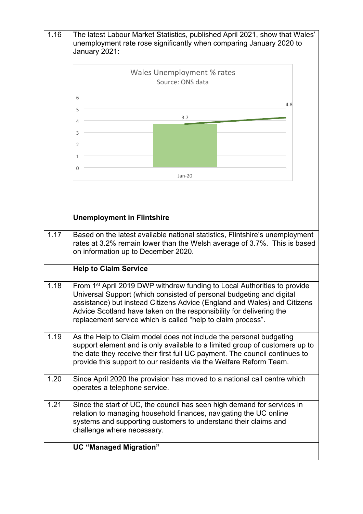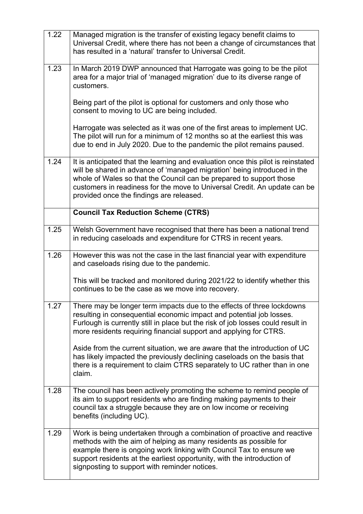| 1.22                                                                                                                                                                    | Managed migration is the transfer of existing legacy benefit claims to<br>Universal Credit, where there has not been a change of circumstances that<br>has resulted in a 'natural' transfer to Universal Credit.                                                                                                                                             |  |
|-------------------------------------------------------------------------------------------------------------------------------------------------------------------------|--------------------------------------------------------------------------------------------------------------------------------------------------------------------------------------------------------------------------------------------------------------------------------------------------------------------------------------------------------------|--|
| 1.23<br>In March 2019 DWP announced that Harrogate was going to be the pilot<br>area for a major trial of 'managed migration' due to its diverse range of<br>customers. |                                                                                                                                                                                                                                                                                                                                                              |  |
|                                                                                                                                                                         | Being part of the pilot is optional for customers and only those who<br>consent to moving to UC are being included.                                                                                                                                                                                                                                          |  |
|                                                                                                                                                                         | Harrogate was selected as it was one of the first areas to implement UC.<br>The pilot will run for a minimum of 12 months so at the earliest this was<br>due to end in July 2020. Due to the pandemic the pilot remains paused.                                                                                                                              |  |
| 1.24                                                                                                                                                                    | It is anticipated that the learning and evaluation once this pilot is reinstated<br>will be shared in advance of 'managed migration' being introduced in the<br>whole of Wales so that the Council can be prepared to support those<br>customers in readiness for the move to Universal Credit. An update can be<br>provided once the findings are released. |  |
|                                                                                                                                                                         | <b>Council Tax Reduction Scheme (CTRS)</b>                                                                                                                                                                                                                                                                                                                   |  |
| 1.25                                                                                                                                                                    | Welsh Government have recognised that there has been a national trend<br>in reducing caseloads and expenditure for CTRS in recent years.                                                                                                                                                                                                                     |  |
| 1.26<br>However this was not the case in the last financial year with expenditure<br>and caseloads rising due to the pandemic.                                          |                                                                                                                                                                                                                                                                                                                                                              |  |
|                                                                                                                                                                         | This will be tracked and monitored during 2021/22 to identify whether this<br>continues to be the case as we move into recovery.                                                                                                                                                                                                                             |  |
| 1.27                                                                                                                                                                    | There may be longer term impacts due to the effects of three lockdowns<br>resulting in consequential economic impact and potential job losses.<br>Furlough is currently still in place but the risk of job losses could result in<br>more residents requiring financial support and applying for CTRS.                                                       |  |
|                                                                                                                                                                         | Aside from the current situation, we are aware that the introduction of UC<br>has likely impacted the previously declining caseloads on the basis that<br>there is a requirement to claim CTRS separately to UC rather than in one<br>claim.                                                                                                                 |  |
| 1.28                                                                                                                                                                    | The council has been actively promoting the scheme to remind people of<br>its aim to support residents who are finding making payments to their<br>council tax a struggle because they are on low income or receiving<br>benefits (including UC).                                                                                                            |  |
| 1.29                                                                                                                                                                    | Work is being undertaken through a combination of proactive and reactive<br>methods with the aim of helping as many residents as possible for<br>example there is ongoing work linking with Council Tax to ensure we<br>support residents at the earliest opportunity, with the introduction of<br>signposting to support with reminder notices.             |  |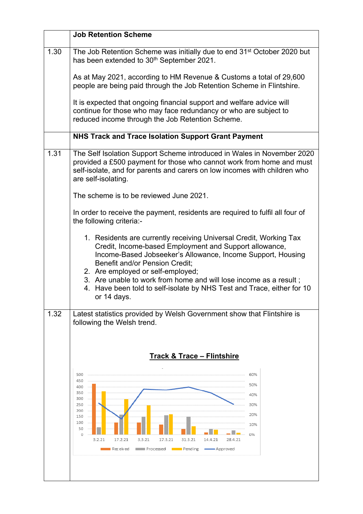|      | <b>Job Retention Scheme</b>                                                                                                                                                                                                                                                                                                                                                                                                             |  |  |
|------|-----------------------------------------------------------------------------------------------------------------------------------------------------------------------------------------------------------------------------------------------------------------------------------------------------------------------------------------------------------------------------------------------------------------------------------------|--|--|
| 1.30 | The Job Retention Scheme was initially due to end 31 <sup>st</sup> October 2020 but<br>has been extended to 30 <sup>th</sup> September 2021.                                                                                                                                                                                                                                                                                            |  |  |
|      | As at May 2021, according to HM Revenue & Customs a total of 29,600<br>people are being paid through the Job Retention Scheme in Flintshire.                                                                                                                                                                                                                                                                                            |  |  |
|      | It is expected that ongoing financial support and welfare advice will<br>continue for those who may face redundancy or who are subject to<br>reduced income through the Job Retention Scheme.                                                                                                                                                                                                                                           |  |  |
|      | NHS Track and Trace Isolation Support Grant Payment                                                                                                                                                                                                                                                                                                                                                                                     |  |  |
| 1.31 | The Self Isolation Support Scheme introduced in Wales in November 2020<br>provided a £500 payment for those who cannot work from home and must<br>self-isolate, and for parents and carers on low incomes with children who<br>are self-isolating.                                                                                                                                                                                      |  |  |
|      | The scheme is to be reviewed June 2021.                                                                                                                                                                                                                                                                                                                                                                                                 |  |  |
|      | In order to receive the payment, residents are required to fulfil all four of<br>the following criteria:-                                                                                                                                                                                                                                                                                                                               |  |  |
|      | 1. Residents are currently receiving Universal Credit, Working Tax<br>Credit, Income-based Employment and Support allowance,<br>Income-Based Jobseeker's Allowance, Income Support, Housing<br><b>Benefit and/or Pension Credit;</b><br>2. Are employed or self-employed;<br>3. Are unable to work from home and will lose income as a result;<br>4. Have been told to self-isolate by NHS Test and Trace, either for 10<br>or 14 days. |  |  |
| 1.32 | Latest statistics provided by Welsh Government show that Flintshire is<br>following the Welsh trend.                                                                                                                                                                                                                                                                                                                                    |  |  |
|      |                                                                                                                                                                                                                                                                                                                                                                                                                                         |  |  |
|      | <b>Track &amp; Trace - Flintshire</b><br>500<br>60%<br>450<br>50%<br>400<br>350<br>40%<br>300<br>250<br>30%<br>200<br>20%<br>150<br>100<br>10%<br>50<br>0%<br>0<br>3.2.21<br>17.2.21<br>14.4.21<br>28.4.21<br>3.3.21<br>17.3.21<br>31.3.21<br>$\blacksquare$ Pending<br>Received<br>iiiiiiiiiiiiiiii Processed<br>- Approved                                                                                                            |  |  |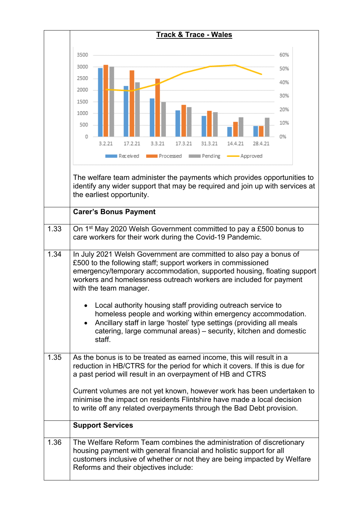|      | <b>Track &amp; Trace - Wales</b>                                                                                                                                                                                                                                                                                                                                                                                                                                                                                                                                                                 |  |  |  |
|------|--------------------------------------------------------------------------------------------------------------------------------------------------------------------------------------------------------------------------------------------------------------------------------------------------------------------------------------------------------------------------------------------------------------------------------------------------------------------------------------------------------------------------------------------------------------------------------------------------|--|--|--|
|      |                                                                                                                                                                                                                                                                                                                                                                                                                                                                                                                                                                                                  |  |  |  |
|      | 3500<br>60%                                                                                                                                                                                                                                                                                                                                                                                                                                                                                                                                                                                      |  |  |  |
|      | 3000                                                                                                                                                                                                                                                                                                                                                                                                                                                                                                                                                                                             |  |  |  |
|      | 2500                                                                                                                                                                                                                                                                                                                                                                                                                                                                                                                                                                                             |  |  |  |
|      | 2000<br>30%                                                                                                                                                                                                                                                                                                                                                                                                                                                                                                                                                                                      |  |  |  |
|      | 1500<br>20%                                                                                                                                                                                                                                                                                                                                                                                                                                                                                                                                                                                      |  |  |  |
|      | 1000<br>10%                                                                                                                                                                                                                                                                                                                                                                                                                                                                                                                                                                                      |  |  |  |
|      | 500                                                                                                                                                                                                                                                                                                                                                                                                                                                                                                                                                                                              |  |  |  |
|      | Ω<br>0%<br>3.2.21<br>17.2.21<br>3.3.21<br>17.3.21<br>31.3.21<br>14.4.21<br>28.4.21                                                                                                                                                                                                                                                                                                                                                                                                                                                                                                               |  |  |  |
|      | Processed<br><b>REBURNER</b> Pending<br>Received<br>- Approved                                                                                                                                                                                                                                                                                                                                                                                                                                                                                                                                   |  |  |  |
|      |                                                                                                                                                                                                                                                                                                                                                                                                                                                                                                                                                                                                  |  |  |  |
|      | The welfare team administer the payments which provides opportunities to                                                                                                                                                                                                                                                                                                                                                                                                                                                                                                                         |  |  |  |
|      | identify any wider support that may be required and join up with services at<br>the earliest opportunity.                                                                                                                                                                                                                                                                                                                                                                                                                                                                                        |  |  |  |
|      |                                                                                                                                                                                                                                                                                                                                                                                                                                                                                                                                                                                                  |  |  |  |
|      | <b>Carer's Bonus Payment</b>                                                                                                                                                                                                                                                                                                                                                                                                                                                                                                                                                                     |  |  |  |
| 1.33 | On 1 <sup>st</sup> May 2020 Welsh Government committed to pay a £500 bonus to                                                                                                                                                                                                                                                                                                                                                                                                                                                                                                                    |  |  |  |
|      | care workers for their work during the Covid-19 Pandemic.                                                                                                                                                                                                                                                                                                                                                                                                                                                                                                                                        |  |  |  |
| 1.34 | In July 2021 Welsh Government are committed to also pay a bonus of<br>£500 to the following staff; support workers in commissioned<br>emergency/temporary accommodation, supported housing, floating support<br>workers and homelessness outreach workers are included for payment<br>with the team manager.<br>Local authority housing staff providing outreach service to<br>homeless people and working within emergency accommodation.<br>Ancillary staff in large 'hostel' type settings (providing all meals<br>catering, large communal areas) - security, kitchen and domestic<br>staff. |  |  |  |
| 1.35 | As the bonus is to be treated as earned income, this will result in a<br>reduction in HB/CTRS for the period for which it covers. If this is due for<br>a past period will result in an overpayment of HB and CTRS                                                                                                                                                                                                                                                                                                                                                                               |  |  |  |
|      | Current volumes are not yet known, however work has been undertaken to<br>minimise the impact on residents Flintshire have made a local decision<br>to write off any related overpayments through the Bad Debt provision.                                                                                                                                                                                                                                                                                                                                                                        |  |  |  |
|      | <b>Support Services</b>                                                                                                                                                                                                                                                                                                                                                                                                                                                                                                                                                                          |  |  |  |
| 1.36 | The Welfare Reform Team combines the administration of discretionary<br>housing payment with general financial and holistic support for all<br>customers inclusive of whether or not they are being impacted by Welfare<br>Reforms and their objectives include:                                                                                                                                                                                                                                                                                                                                 |  |  |  |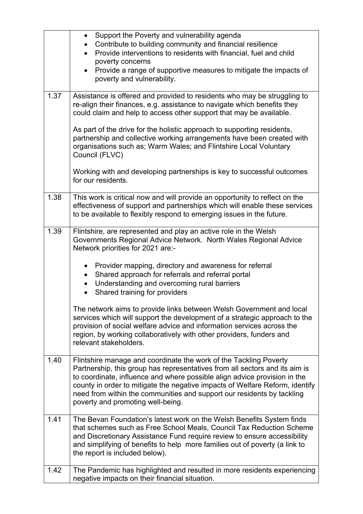|      | Support the Poverty and vulnerability agenda<br>٠<br>Contribute to building community and financial resilience<br>Provide interventions to residents with financial, fuel and child                                                                                                                                                                                                                                          |  |  |
|------|------------------------------------------------------------------------------------------------------------------------------------------------------------------------------------------------------------------------------------------------------------------------------------------------------------------------------------------------------------------------------------------------------------------------------|--|--|
|      | poverty concerns<br>Provide a range of supportive measures to mitigate the impacts of<br>poverty and vulnerability.                                                                                                                                                                                                                                                                                                          |  |  |
| 1.37 | Assistance is offered and provided to residents who may be struggling to<br>re-align their finances, e.g. assistance to navigate which benefits they<br>could claim and help to access other support that may be available.                                                                                                                                                                                                  |  |  |
|      | As part of the drive for the holistic approach to supporting residents,<br>partnership and collective working arrangements have been created with<br>organisations such as; Warm Wales; and Flintshire Local Voluntary<br>Council (FLVC)                                                                                                                                                                                     |  |  |
|      | Working with and developing partnerships is key to successful outcomes<br>for our residents.                                                                                                                                                                                                                                                                                                                                 |  |  |
| 1.38 | This work is critical now and will provide an opportunity to reflect on the<br>effectiveness of support and partnerships which will enable these services<br>to be available to flexibly respond to emerging issues in the future.                                                                                                                                                                                           |  |  |
| 1.39 | Flintshire, are represented and play an active role in the Welsh<br>Governments Regional Advice Network. North Wales Regional Advice<br>Network priorities for 2021 are:-                                                                                                                                                                                                                                                    |  |  |
|      | Provider mapping, directory and awareness for referral                                                                                                                                                                                                                                                                                                                                                                       |  |  |
|      | Shared approach for referrals and referral portal<br>Understanding and overcoming rural barriers                                                                                                                                                                                                                                                                                                                             |  |  |
|      | Shared training for providers                                                                                                                                                                                                                                                                                                                                                                                                |  |  |
|      | The network aims to provide links between Welsh Government and local<br>services which will support the development of a strategic approach to the<br>provision of social welfare advice and information services across the<br>region, by working collaboratively with other providers, funders and<br>relevant stakeholders.                                                                                               |  |  |
| 1.40 | Flintshire manage and coordinate the work of the Tackling Poverty<br>Partnership, this group has representatives from all sectors and its aim is<br>to coordinate, influence and where possible align advice provision in the<br>county in order to mitigate the negative impacts of Welfare Reform, identify<br>need from within the communities and support our residents by tackling<br>poverty and promoting well-being. |  |  |
| 1.41 | The Bevan Foundation's latest work on the Welsh Benefits System finds<br>that schemes such as Free School Meals, Council Tax Reduction Scheme                                                                                                                                                                                                                                                                                |  |  |
|      | and Discretionary Assistance Fund require review to ensure accessibility                                                                                                                                                                                                                                                                                                                                                     |  |  |
|      | and simplifying of benefits to help more families out of poverty (a link to<br>the report is included below).                                                                                                                                                                                                                                                                                                                |  |  |
| 1.42 | The Pandemic has highlighted and resulted in more residents experiencing                                                                                                                                                                                                                                                                                                                                                     |  |  |
|      | negative impacts on their financial situation.                                                                                                                                                                                                                                                                                                                                                                               |  |  |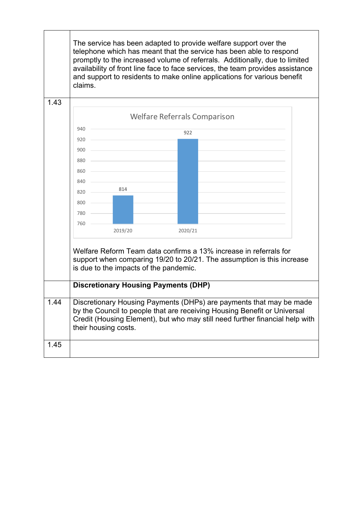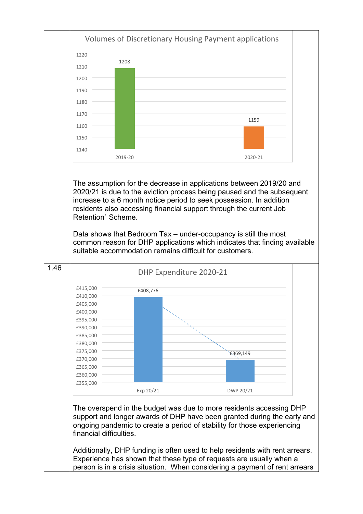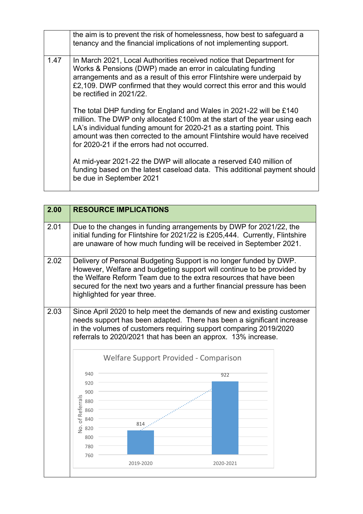|      |  | the aim is to prevent the risk of homelessness, how best to safeguard a<br>tenancy and the financial implications of not implementing support.                                                                                                                                                                                                    |
|------|--|---------------------------------------------------------------------------------------------------------------------------------------------------------------------------------------------------------------------------------------------------------------------------------------------------------------------------------------------------|
| 1.47 |  | In March 2021, Local Authorities received notice that Department for<br>Works & Pensions (DWP) made an error in calculating funding<br>arrangements and as a result of this error Flintshire were underpaid by<br>£2,109. DWP confirmed that they would correct this error and this would<br>be rectified in 2021/22.                             |
|      |  | The total DHP funding for England and Wales in 2021-22 will be £140<br>million. The DWP only allocated £100m at the start of the year using each<br>LA's individual funding amount for 2020-21 as a starting point. This<br>amount was then corrected to the amount Flintshire would have received<br>for 2020-21 if the errors had not occurred. |
|      |  | At mid-year 2021-22 the DWP will allocate a reserved £40 million of<br>funding based on the latest caseload data. This additional payment should<br>be due in September 2021                                                                                                                                                                      |

| 2.00       |                                                                                                                                                                                                                                                                                                                                        | <b>RESOURCE IMPLICATIONS</b>                                                                                                                                                                                               |           |  |
|------------|----------------------------------------------------------------------------------------------------------------------------------------------------------------------------------------------------------------------------------------------------------------------------------------------------------------------------------------|----------------------------------------------------------------------------------------------------------------------------------------------------------------------------------------------------------------------------|-----------|--|
| 2.01       |                                                                                                                                                                                                                                                                                                                                        | Due to the changes in funding arrangements by DWP for 2021/22, the<br>initial funding for Flintshire for 2021/22 is £205,444. Currently, Flintshire<br>are unaware of how much funding will be received in September 2021. |           |  |
| 2.02       | Delivery of Personal Budgeting Support is no longer funded by DWP.<br>However, Welfare and budgeting support will continue to be provided by<br>the Welfare Reform Team due to the extra resources that have been<br>secured for the next two years and a further financial pressure has been<br>highlighted for year three.           |                                                                                                                                                                                                                            |           |  |
|            | 2.03<br>Since April 2020 to help meet the demands of new and existing customer<br>needs support has been adapted. There has been a significant increase<br>in the volumes of customers requiring support comparing 2019/2020<br>referrals to 2020/2021 that has been an approx. 13% increase.<br>Welfare Support Provided - Comparison |                                                                                                                                                                                                                            |           |  |
|            | 940                                                                                                                                                                                                                                                                                                                                    |                                                                                                                                                                                                                            | 922       |  |
| 920<br>900 |                                                                                                                                                                                                                                                                                                                                        |                                                                                                                                                                                                                            |           |  |
|            |                                                                                                                                                                                                                                                                                                                                        |                                                                                                                                                                                                                            |           |  |
|            | <b>Vo. of Referrals</b><br>880                                                                                                                                                                                                                                                                                                         |                                                                                                                                                                                                                            |           |  |
|            | 860<br>840                                                                                                                                                                                                                                                                                                                             |                                                                                                                                                                                                                            |           |  |
|            | 820                                                                                                                                                                                                                                                                                                                                    |                                                                                                                                                                                                                            |           |  |
|            | 800                                                                                                                                                                                                                                                                                                                                    |                                                                                                                                                                                                                            |           |  |
|            | 780                                                                                                                                                                                                                                                                                                                                    |                                                                                                                                                                                                                            |           |  |
|            | 760                                                                                                                                                                                                                                                                                                                                    |                                                                                                                                                                                                                            |           |  |
| 2019-2020  |                                                                                                                                                                                                                                                                                                                                        |                                                                                                                                                                                                                            | 2020-2021 |  |
|            |                                                                                                                                                                                                                                                                                                                                        |                                                                                                                                                                                                                            |           |  |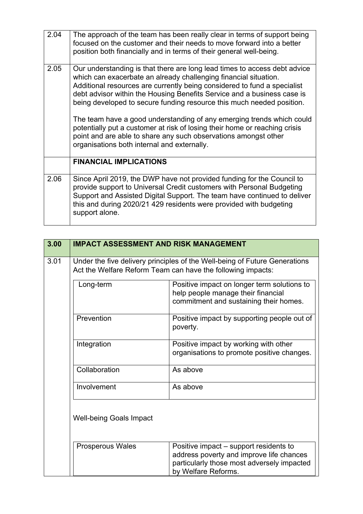| 2.04 | The approach of the team has been really clear in terms of support being<br>focused on the customer and their needs to move forward into a better<br>position both financially and in terms of their general well-being.                                                                                                                                                                                                                                                                                                                                                                                                                               |  |
|------|--------------------------------------------------------------------------------------------------------------------------------------------------------------------------------------------------------------------------------------------------------------------------------------------------------------------------------------------------------------------------------------------------------------------------------------------------------------------------------------------------------------------------------------------------------------------------------------------------------------------------------------------------------|--|
| 2.05 | Our understanding is that there are long lead times to access debt advice<br>which can exacerbate an already challenging financial situation.<br>Additional resources are currently being considered to fund a specialist<br>debt advisor within the Housing Benefits Service and a business case is<br>being developed to secure funding resource this much needed position.<br>The team have a good understanding of any emerging trends which could<br>potentially put a customer at risk of losing their home or reaching crisis<br>point and are able to share any such observations amongst other<br>organisations both internal and externally. |  |
|      | <b>FINANCIAL IMPLICATIONS</b>                                                                                                                                                                                                                                                                                                                                                                                                                                                                                                                                                                                                                          |  |
| 2.06 | Since April 2019, the DWP have not provided funding for the Council to<br>provide support to Universal Credit customers with Personal Budgeting<br>Support and Assisted Digital Support. The team have continued to deliver<br>this and during 2020/21 429 residents were provided with budgeting<br>support alone.                                                                                                                                                                                                                                                                                                                                    |  |

÷.

| 3.00 | <b>IMPACT ASSESSMENT AND RISK MANAGEMENT</b>                                                                                              |                                                                                                                                                         |  |
|------|-------------------------------------------------------------------------------------------------------------------------------------------|---------------------------------------------------------------------------------------------------------------------------------------------------------|--|
| 3.01 | Under the five delivery principles of the Well-being of Future Generations<br>Act the Welfare Reform Team can have the following impacts: |                                                                                                                                                         |  |
|      | Long-term                                                                                                                                 | Positive impact on longer term solutions to<br>help people manage their financial<br>commitment and sustaining their homes.                             |  |
|      | Prevention                                                                                                                                | Positive impact by supporting people out of<br>poverty.                                                                                                 |  |
|      | Integration                                                                                                                               | Positive impact by working with other<br>organisations to promote positive changes.                                                                     |  |
|      | Collaboration                                                                                                                             | As above                                                                                                                                                |  |
|      | Involvement                                                                                                                               | As above                                                                                                                                                |  |
|      | <b>Well-being Goals Impact</b>                                                                                                            |                                                                                                                                                         |  |
|      | <b>Prosperous Wales</b>                                                                                                                   | Positive impact – support residents to<br>address poverty and improve life chances<br>particularly those most adversely impacted<br>by Welfare Reforms. |  |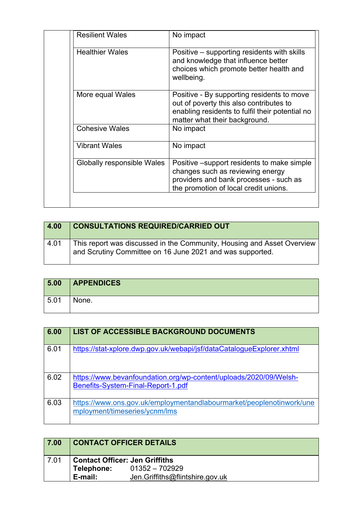| <b>Resilient Wales</b>     | No impact                                                                                                                                                                 |
|----------------------------|---------------------------------------------------------------------------------------------------------------------------------------------------------------------------|
| <b>Healthier Wales</b>     | Positive - supporting residents with skills<br>and knowledge that influence better<br>choices which promote better health and<br>wellbeing.                               |
| More equal Wales           | Positive - By supporting residents to move<br>out of poverty this also contributes to<br>enabling residents to fulfil their potential no<br>matter what their background. |
| <b>Cohesive Wales</b>      | No impact                                                                                                                                                                 |
| <b>Vibrant Wales</b>       | No impact                                                                                                                                                                 |
| Globally responsible Wales | Positive – support residents to make simple<br>changes such as reviewing energy<br>providers and bank processes - such as<br>the promotion of local credit unions.        |

| 4.00 | <b>CONSULTATIONS REQUIRED/CARRIED OUT</b>                                                                                           |
|------|-------------------------------------------------------------------------------------------------------------------------------------|
| 4.01 | This report was discussed in the Community, Housing and Asset Overview<br>and Scrutiny Committee on 16 June 2021 and was supported. |

| 5.00 | <b>APPENDICES</b> |
|------|-------------------|
| 5.01 | None.             |

| 6.00 | <b>LIST OF ACCESSIBLE BACKGROUND DOCUMENTS</b>                                                          |
|------|---------------------------------------------------------------------------------------------------------|
| 6.01 | https://stat-xplore.dwp.gov.uk/webapi/jsf/dataCatalogueExplorer.xhtml                                   |
| 6.02 | https://www.bevanfoundation.org/wp-content/uploads/2020/09/Welsh-<br>Benefits-System-Final-Report-1.pdf |
| 6.03 | https://www.ons.gov.uk/employmentandlabourmarket/peoplenotinwork/une<br>mployment/timeseries/ycnm/lms   |

| 7.00 |                                       | <b>CONTACT OFFICER DETAILS</b>  |
|------|---------------------------------------|---------------------------------|
| 7.01 | <b>Contact Officer: Jen Griffiths</b> |                                 |
|      | Telephone:                            | $01352 - 702929$                |
|      | E-mail:                               | Jen.Griffiths@flintshire.gov.uk |